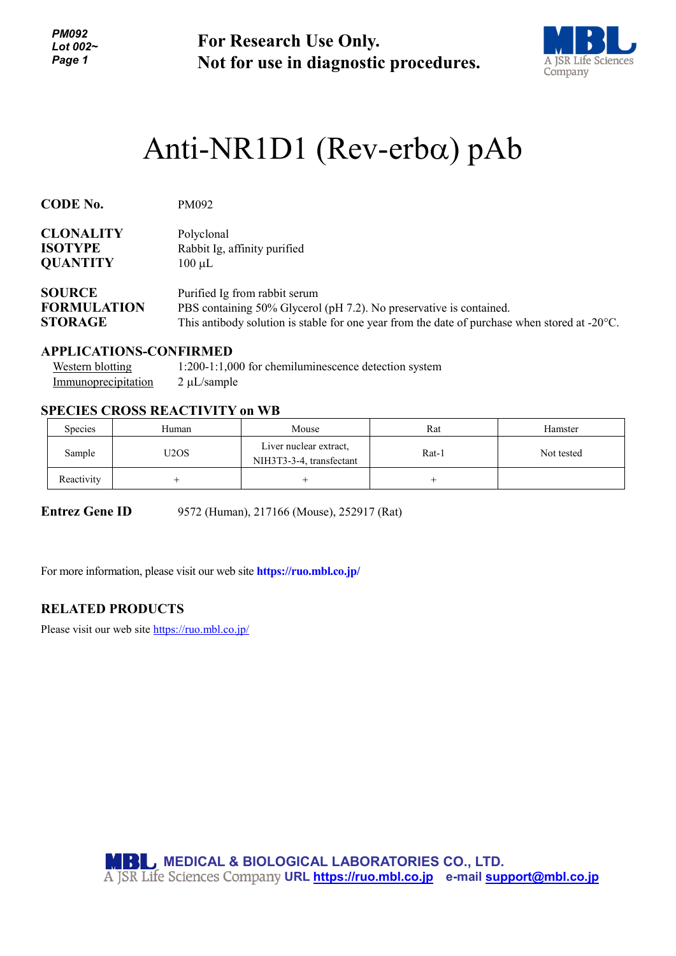*PM092 Lot 002~ Page 1*

**For Research Use Only. Not for use in diagnostic procedures.**



# Anti-NR1D1 (Rev-erbα) pAb

| <b>CODE No.</b>    | PM092                                                                                                   |
|--------------------|---------------------------------------------------------------------------------------------------------|
| <b>CLONALITY</b>   | Polyclonal                                                                                              |
| <b>ISOTYPE</b>     | Rabbit Ig, affinity purified                                                                            |
| <b>QUANTITY</b>    | $100 \mu L$                                                                                             |
| <b>SOURCE</b>      | Purified Ig from rabbit serum                                                                           |
| <b>FORMULATION</b> | PBS containing 50% Glycerol (pH 7.2). No preservative is contained.                                     |
| <b>STORAGE</b>     | This antibody solution is stable for one year from the date of purchase when stored at $-20^{\circ}$ C. |

#### **APPLICATIONS-CONFIRMED**

| Western blotting    | 1:200-1:1,000 for chemiluminescence detection system |
|---------------------|------------------------------------------------------|
| Immunoprecipitation | $2 \mu L$ /sample                                    |

### **SPECIES CROSS REACTIVITY on WB**

| Species    | Human | Mouse                                              | Rat   | Hamster    |
|------------|-------|----------------------------------------------------|-------|------------|
| Sample     | U2OS  | Liver nuclear extract,<br>NIH3T3-3-4, transfectant | Rat-1 | Not tested |
| Reactivity |       |                                                    |       |            |

**Entrez Gene ID** 9572 (Human), 217166 (Mouse), 252917 (Rat)

For more information, please visit our web site **https://ruo.mbl.co.jp/**

#### **RELATED PRODUCTS**

Please visit our web site<https://ruo.mbl.co.jp/>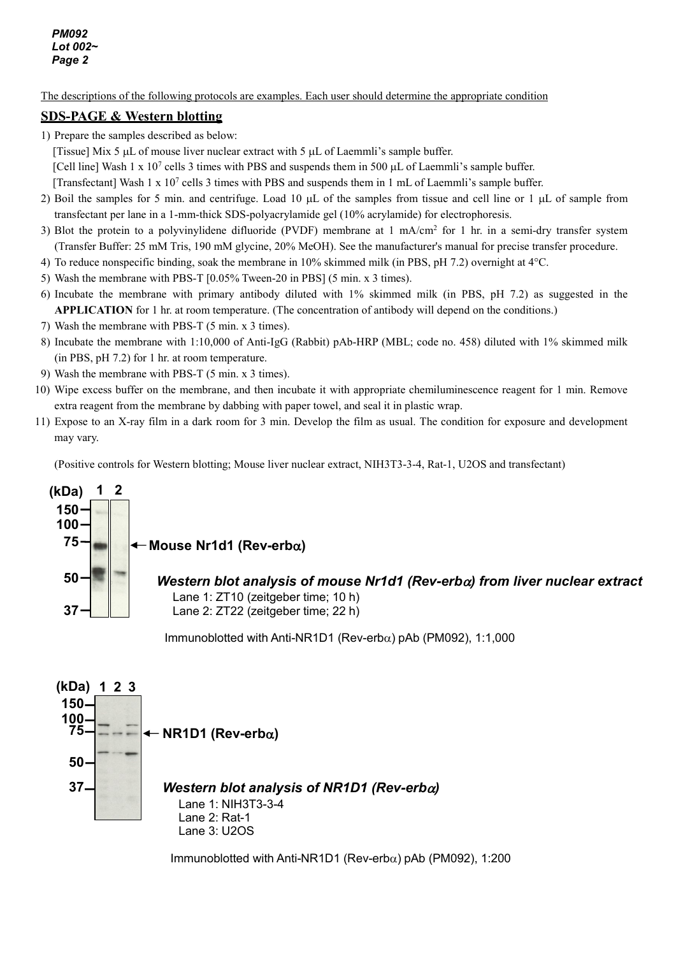The descriptions of the following protocols are examples. Each user should determine the appropriate condition

#### **SDS-PAGE & Western blotting**

1) Prepare the samples described as below:

[Tissue] Mix 5 µL of mouse liver nuclear extract with 5 µL of Laemmli's sample buffer.

[Cell line] Wash 1 x 107 cells 3 times with PBS and suspends them in 500 µL of Laemmli's sample buffer.

[Transfectant] Wash 1 x 10<sup>7</sup> cells 3 times with PBS and suspends them in 1 mL of Laemmli's sample buffer.

- 2) Boil the samples for 5 min. and centrifuge. Load 10 µL of the samples from tissue and cell line or 1 µL of sample from transfectant per lane in a 1-mm-thick SDS-polyacrylamide gel (10% acrylamide) for electrophoresis.
- 3) Blot the protein to a polyvinylidene difluoride (PVDF) membrane at  $1 \text{ mA/cm}^2$  for  $1 \text{ hr}$  in a semi-dry transfer system (Transfer Buffer: 25 mM Tris, 190 mM glycine, 20% MeOH). See the manufacturer's manual for precise transfer procedure.
- 4) To reduce nonspecific binding, soak the membrane in 10% skimmed milk (in PBS, pH 7.2) overnight at 4°C.
- 5) Wash the membrane with PBS-T [0.05% Tween-20 in PBS] (5 min. x 3 times).
- 6) Incubate the membrane with primary antibody diluted with 1% skimmed milk (in PBS, pH 7.2) as suggested in the **APPLICATION** for 1 hr. at room temperature. (The concentration of antibody will depend on the conditions.)
- 7) Wash the membrane with PBS-T (5 min. x 3 times).
- 8) Incubate the membrane with 1:10,000 of Anti-IgG (Rabbit) pAb-HRP (MBL; code no. 458) diluted with 1% skimmed milk (in PBS, pH 7.2) for 1 hr. at room temperature.
- 9) Wash the membrane with PBS-T (5 min. x 3 times).
- 10) Wipe excess buffer on the membrane, and then incubate it with appropriate chemiluminescence reagent for 1 min. Remove extra reagent from the membrane by dabbing with paper towel, and seal it in plastic wrap.
- 11) Expose to an X-ray film in a dark room for 3 min. Develop the film as usual. The condition for exposure and development may vary.

(Positive controls for Western blotting; Mouse liver nuclear extract, NIH3T3-3-4, Rat-1, U2OS and transfectant)



Immunoblotted with Anti-NR1D1 (Rev-erbα) pAb (PM092), 1:1,000



Immunoblotted with Anti-NR1D1 (Rev-erbα) pAb (PM092), 1:200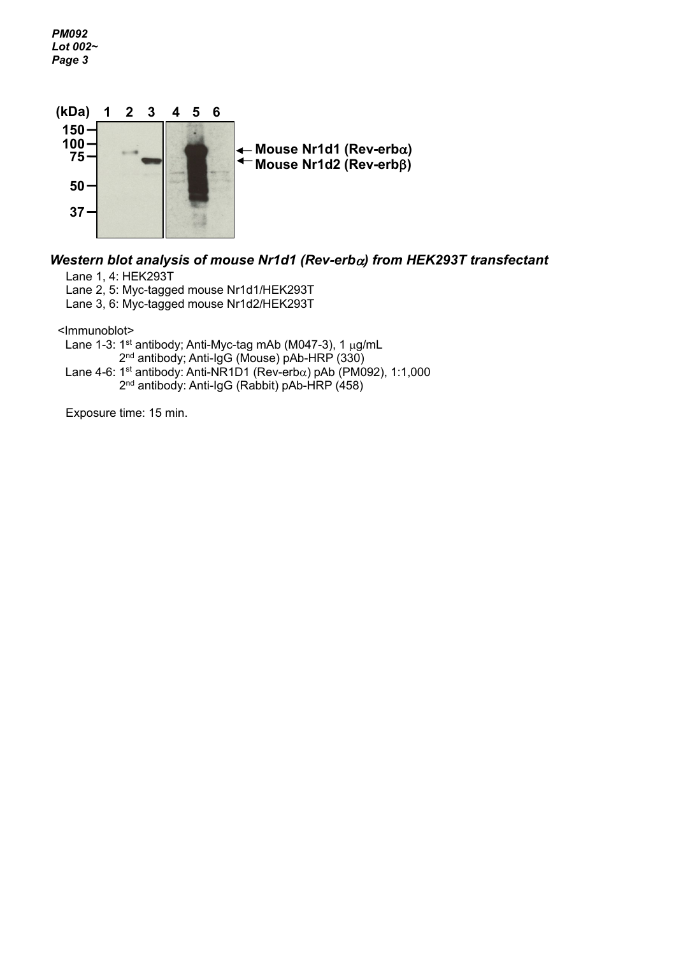*PM092 Lot 002~ Page 3*



## *Western blot analysis of mouse Nr1d1 (Rev-erb*α*) from HEK293T transfectant*

Lane 1, 4: HEK293T

Lane 2, 5: Myc-tagged mouse Nr1d1/HEK293T

Lane 3, 6: Myc-tagged mouse Nr1d2/HEK293T

<Immunoblot>

Lane 1-3: 1<sup>st</sup> antibody; Anti-Myc-tag mAb (M047-3), 1 µg/mL 2<sup>nd</sup> antibody; Anti-IgG (Mouse) pAb-HRP (330) Lane 4-6: 1<sup>st</sup> antibody: Anti-NR1D1 (Rev-erb $\alpha$ ) pAb (PM092), 1:1,000

2nd antibody: Anti-IgG (Rabbit) pAb-HRP (458)

Exposure time: 15 min.